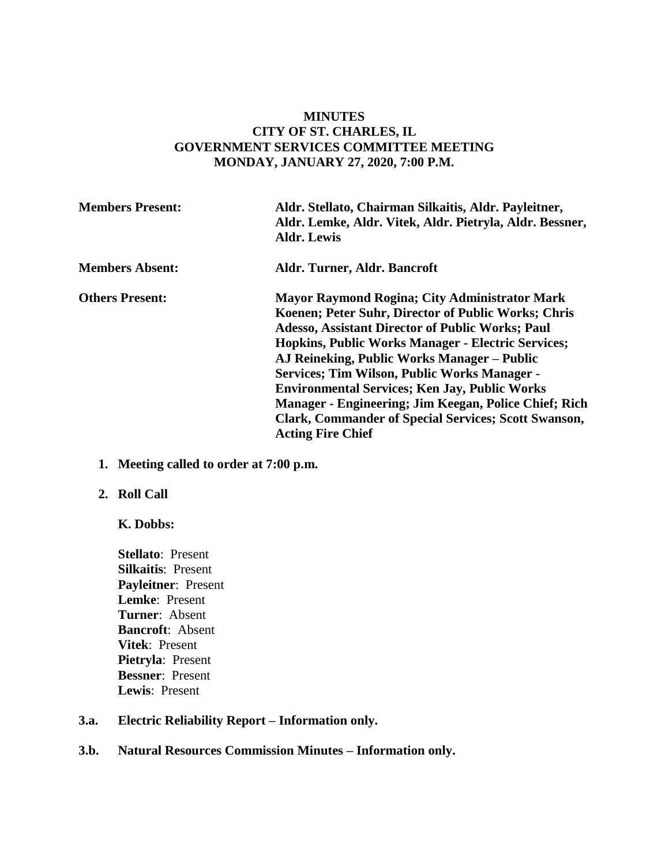# **MINUTES CITY OF ST. CHARLES, IL GOVERNMENT SERVICES COMMITTEE MEETING MONDAY, JANUARY 27, 2020, 7:00 P.M.**

| <b>Members Present:</b> | Aldr. Stellato, Chairman Silkaitis, Aldr. Payleitner,<br>Aldr. Lemke, Aldr. Vitek, Aldr. Pietryla, Aldr. Bessner,<br><b>Aldr. Lewis</b>                                                                                                                                                                                                                                                                                                                                                                                                               |
|-------------------------|-------------------------------------------------------------------------------------------------------------------------------------------------------------------------------------------------------------------------------------------------------------------------------------------------------------------------------------------------------------------------------------------------------------------------------------------------------------------------------------------------------------------------------------------------------|
| <b>Members Absent:</b>  | Aldr. Turner, Aldr. Bancroft                                                                                                                                                                                                                                                                                                                                                                                                                                                                                                                          |
| <b>Others Present:</b>  | <b>Mayor Raymond Rogina; City Administrator Mark</b><br>Koenen; Peter Suhr, Director of Public Works; Chris<br><b>Adesso, Assistant Director of Public Works; Paul</b><br><b>Hopkins, Public Works Manager - Electric Services;</b><br>AJ Reineking, Public Works Manager – Public<br><b>Services; Tim Wilson, Public Works Manager -</b><br><b>Environmental Services; Ken Jay, Public Works</b><br>Manager - Engineering; Jim Keegan, Police Chief; Rich<br><b>Clark, Commander of Special Services; Scott Swanson,</b><br><b>Acting Fire Chief</b> |

**1. Meeting called to order at 7:00 p.m.** 

### **2. Roll Call**

# **K. Dobbs:**

**Stellato**: Present **Silkaitis**: Present **Payleitner**: Present **Lemke**: Present **Turner**: Absent **Bancroft**: Absent **Vitek**: Present **Pietryla**: Present **Bessner**: Present **Lewis**: Present

# **3.a. Electric Reliability Report – Information only.**

# **3.b. Natural Resources Commission Minutes – Information only.**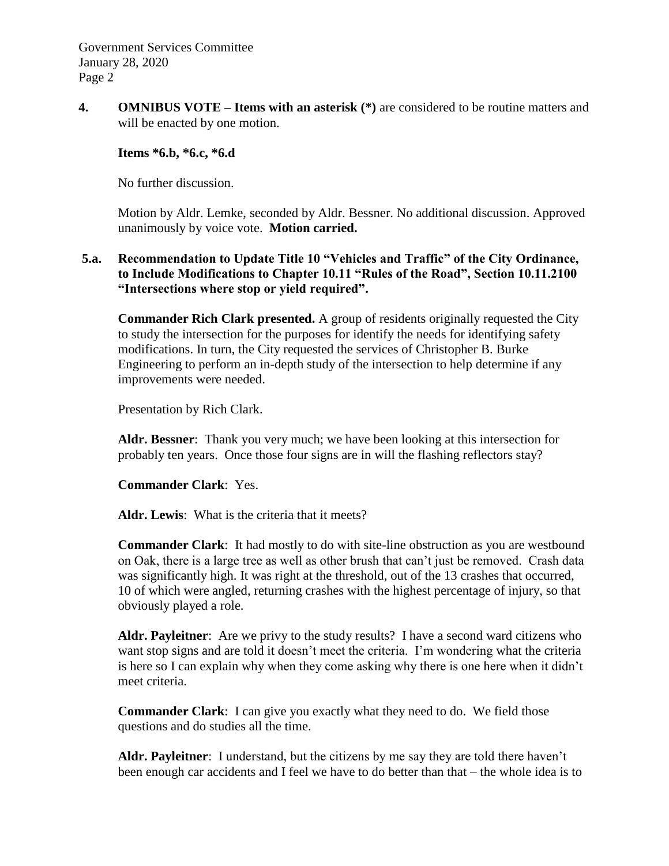Government Services Committee January 28, 2020 Page 2

**4. OMNIBUS VOTE** – **Items with an asterisk** (\*) are considered to be routine matters and will be enacted by one motion.

## **Items \*6.b, \*6.c, \*6.d**

No further discussion.

Motion by Aldr. Lemke, seconded by Aldr. Bessner. No additional discussion. Approved unanimously by voice vote. **Motion carried.**

# **5.a. Recommendation to Update Title 10 "Vehicles and Traffic" of the City Ordinance, to Include Modifications to Chapter 10.11 "Rules of the Road", Section 10.11.2100 "Intersections where stop or yield required".**

**Commander Rich Clark presented.** A group of residents originally requested the City to study the intersection for the purposes for identify the needs for identifying safety modifications. In turn, the City requested the services of Christopher B. Burke Engineering to perform an in-depth study of the intersection to help determine if any improvements were needed.

Presentation by Rich Clark.

**Aldr. Bessner**: Thank you very much; we have been looking at this intersection for probably ten years. Once those four signs are in will the flashing reflectors stay?

### **Commander Clark**: Yes.

**Aldr. Lewis**: What is the criteria that it meets?

**Commander Clark**: It had mostly to do with site-line obstruction as you are westbound on Oak, there is a large tree as well as other brush that can't just be removed. Crash data was significantly high. It was right at the threshold, out of the 13 crashes that occurred, 10 of which were angled, returning crashes with the highest percentage of injury, so that obviously played a role.

**Aldr. Payleitner**: Are we privy to the study results? I have a second ward citizens who want stop signs and are told it doesn't meet the criteria. I'm wondering what the criteria is here so I can explain why when they come asking why there is one here when it didn't meet criteria.

**Commander Clark**: I can give you exactly what they need to do. We field those questions and do studies all the time.

**Aldr. Payleitner**: I understand, but the citizens by me say they are told there haven't been enough car accidents and I feel we have to do better than that – the whole idea is to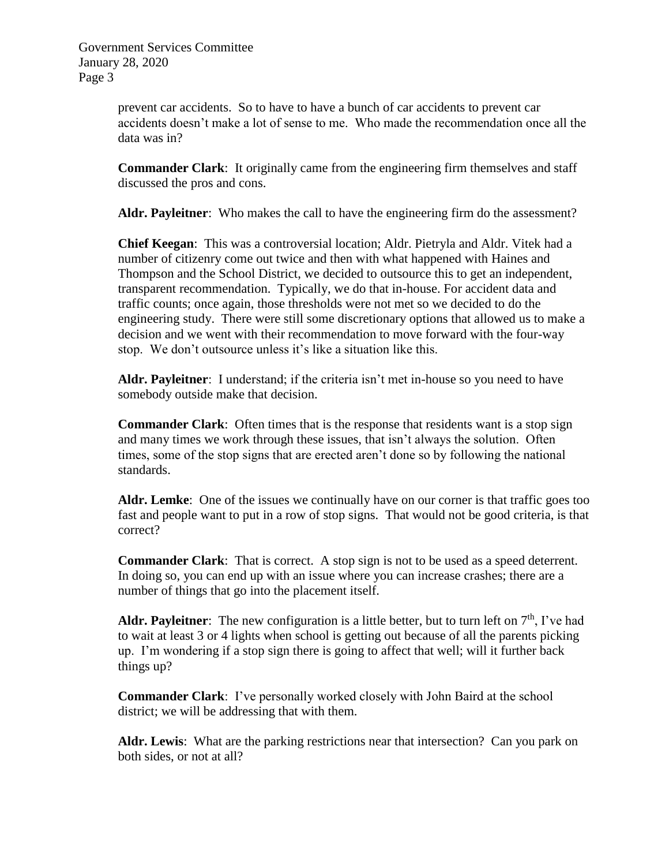Government Services Committee January 28, 2020 Page 3

> prevent car accidents. So to have to have a bunch of car accidents to prevent car accidents doesn't make a lot of sense to me. Who made the recommendation once all the data was in?

**Commander Clark**: It originally came from the engineering firm themselves and staff discussed the pros and cons.

**Aldr. Payleitner**: Who makes the call to have the engineering firm do the assessment?

**Chief Keegan**: This was a controversial location; Aldr. Pietryla and Aldr. Vitek had a number of citizenry come out twice and then with what happened with Haines and Thompson and the School District, we decided to outsource this to get an independent, transparent recommendation. Typically, we do that in-house. For accident data and traffic counts; once again, those thresholds were not met so we decided to do the engineering study. There were still some discretionary options that allowed us to make a decision and we went with their recommendation to move forward with the four-way stop. We don't outsource unless it's like a situation like this.

**Aldr. Payleitner**: I understand; if the criteria isn't met in-house so you need to have somebody outside make that decision.

**Commander Clark**: Often times that is the response that residents want is a stop sign and many times we work through these issues, that isn't always the solution. Often times, some of the stop signs that are erected aren't done so by following the national standards.

**Aldr. Lemke**: One of the issues we continually have on our corner is that traffic goes too fast and people want to put in a row of stop signs. That would not be good criteria, is that correct?

**Commander Clark**: That is correct. A stop sign is not to be used as a speed deterrent. In doing so, you can end up with an issue where you can increase crashes; there are a number of things that go into the placement itself.

**Aldr. Payleitner**: The new configuration is a little better, but to turn left on  $7<sup>th</sup>$ , I've had to wait at least 3 or 4 lights when school is getting out because of all the parents picking up. I'm wondering if a stop sign there is going to affect that well; will it further back things up?

**Commander Clark**: I've personally worked closely with John Baird at the school district; we will be addressing that with them.

**Aldr. Lewis**: What are the parking restrictions near that intersection? Can you park on both sides, or not at all?